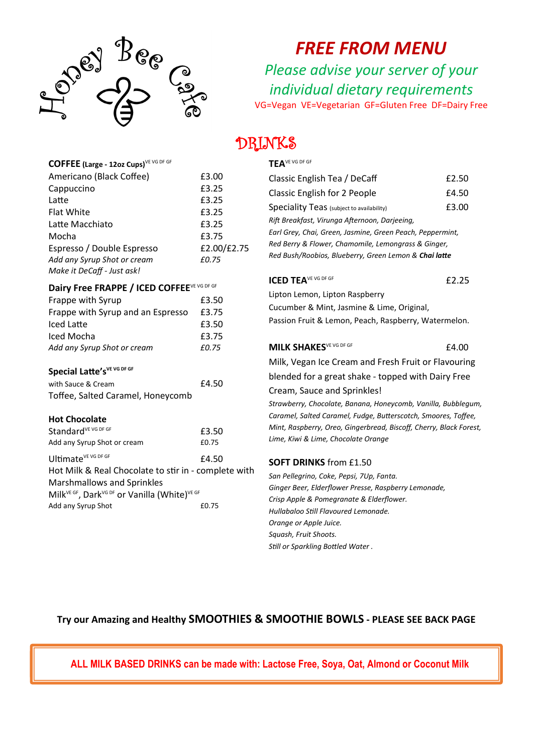

**COFFEE (Large - 12oz Cups)**VE VG DF GF

*FREE FROM MENU*

*Please advise your server of your individual dietary requirements* VG=Vegan VE=Vegetarian GF=Gluten Free DF=Dairy Free

## UKINKS

#### **TEA**VE VG DF GF

| Americano (Black Coffee)                                                          | £3.00       | Classi            |
|-----------------------------------------------------------------------------------|-------------|-------------------|
| Cappuccino                                                                        | £3.25       | Classi            |
| Latte                                                                             | £3.25       |                   |
| <b>Flat White</b>                                                                 | £3.25       | Speci             |
| Latte Macchiato                                                                   | £3.25       | Rift Br           |
| Mocha                                                                             | £3.75       | Earl Gi           |
| Espresso / Double Espresso                                                        | £2.00/£2.75 | Red Be            |
| Add any Syrup Shot or cream                                                       | £0.75       | Red Bu            |
| Make it DeCaff - Just ask!                                                        |             |                   |
| Dairy Free FRAPPE / ICED COFFEEVE VG DF GF                                        |             | <b>ICED</b>       |
| Frappe with Syrup                                                                 | £3.50       | Liptor            |
| Frappe with Syrup and an Espresso                                                 | £3.75       | Cucur             |
| <b>Iced Latte</b>                                                                 | £3.50       | Passic            |
| Iced Mocha                                                                        | £3.75       |                   |
| Add any Syrup Shot or cream                                                       | £0.75       | <b>MILK</b>       |
|                                                                                   |             | Milk,             |
| Special Latte's VE VG DF GF                                                       |             | blenc             |
| with Sauce & Cream                                                                | £4.50       |                   |
| Toffee, Salted Caramel, Honeycomb                                                 |             | Crear             |
|                                                                                   |             | Strawk            |
| <b>Hot Chocolate</b>                                                              |             | Caram             |
| Standard <sup>VE</sup> VG DF GF                                                   | £3.50       | Mint, I           |
| Add any Syrup Shot or cream                                                       | £0.75       | Lime, I           |
| Ultimate <sup>VE VG DF GF</sup>                                                   | £4.50       | <b>SOFT</b>       |
| Hot Milk & Real Chocolate to stir in - complete with                              |             |                   |
| Marshmallows and Sprinkles                                                        |             | San Pe            |
| Milk <sup>VE GF</sup> , Dark <sup>VG DF</sup> or Vanilla (White) <sup>VE GF</sup> |             | Ginger            |
| Add any Syrup Shot                                                                | £0.75       | Crisp A<br>Hullah |
|                                                                                   |             |                   |

| Classic English Tea / DeCaff                                                                                     | £2.50 |  |
|------------------------------------------------------------------------------------------------------------------|-------|--|
| Classic English for 2 People                                                                                     | £4.50 |  |
| Speciality Teas (subject to availability)                                                                        | £3.00 |  |
| Rift Breakfast, Virunga Afternoon, Darjeeing,                                                                    |       |  |
| Earl Grey, Chai, Green, Jasmine, Green Peach, Peppermint,<br>Red Berry & Flower, Chamomile, Lemongrass & Ginger, |       |  |
|                                                                                                                  |       |  |
| <b>ICED TEAVE VG DF GF</b>                                                                                       | £2.25 |  |
| Lipton Lemon, Lipton Raspberry                                                                                   |       |  |
| Cucumber & Mint, Jasmine & Lime, Original,                                                                       |       |  |
| Passion Fruit & Lemon, Peach, Raspberry, Watermelon.                                                             |       |  |
| <b>MILK SHAKES</b> VE VG DF GF                                                                                   | £4.00 |  |

Vegan Ice Cream and Fresh Fruit or Flavouring ded for a great shake - topped with Dairy Free

m, Sauce and Sprinkles!

*Strawberry, Chocolate, Banana, Honeycomb, Vanilla, Bubblegum, Caramel, Salted Caramel, Fudge, Butterscotch, Smoores, Toffee, Mint, Raspberry, Oreo, Gingerbread, Biscoff, Cherry, Black Forest, Lime, Kiwi & Lime, Chocolate Orange*

#### **DRINKS** from £1.50

*San Pellegrino, Coke, Pepsi, 7Up, Fanta. Ginger Beer, Elderflower Presse, Raspberry Lemonade, Crisp Apple & Pomegranate & Elderflower. Hullabaloo Still Flavoured Lemonade. Orange or Apple Juice. Squash, Fruit Shoots. Still or Sparkling Bottled Water .*

### **Try our Amazing and Healthy SMOOTHIES & SMOOTHIE BOWLS - PLEASE SEE BACK PAGE**

**ALL MILK BASED DRINKS can be made with: Lactose Free, Soya, Oat, Almond or Coconut Milk**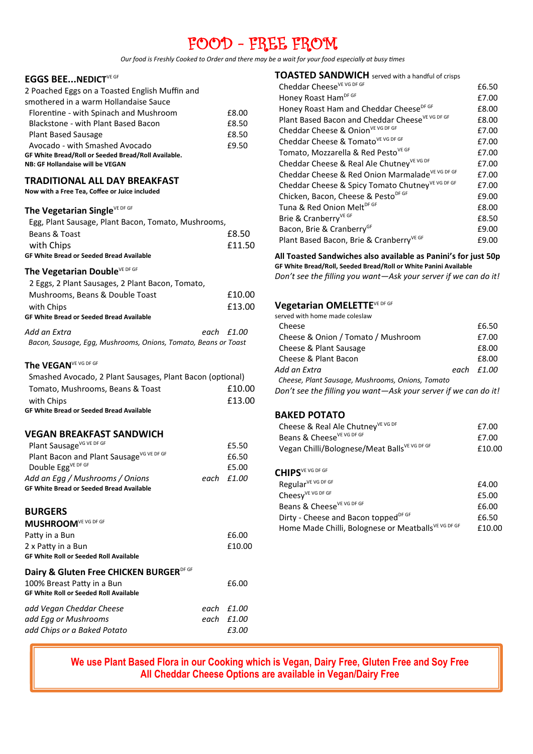## FOOD - FREE FROM

*Our food is Freshly Cooked to Order and there may be a wait for your food especially at busy times*

#### **EGGS BEE...NEDICT**VE GF

| 2 Poached Eggs on a Toasted English Muffin and      |       |
|-----------------------------------------------------|-------|
| smothered in a warm Hollandaise Sauce               |       |
| Florentine - with Spinach and Mushroom              | £8.00 |
| Blackstone - with Plant Based Bacon                 | £8.50 |
| <b>Plant Based Sausage</b>                          | £8.50 |
| Avocado - with Smashed Avocado                      | £9.50 |
| GF White Bread/Roll or Seeded Bread/Roll Available. |       |
| NB: GF Hollandaise will be VEGAN                    |       |

#### **TRADITIONAL ALL DAY BREAKFAST**

**Now with a Free Tea, Coffee or Juice included**

#### The Vegetarian Single<sup>VE DF GF</sup>

| Egg, Plant Sausage, Plant Bacon, Tomato, Mushrooms, |        |
|-----------------------------------------------------|--------|
| Beans & Toast                                       | £8.50  |
| with Chips                                          | £11.50 |
| <b>GF White Bread or Seeded Bread Available</b>     |        |

#### The Vegetarian Double<sup>VE DF GF</sup>

| 2 Eggs, 2 Plant Sausages, 2 Plant Bacon, Tomato,               |              |
|----------------------------------------------------------------|--------------|
| Mushrooms, Beans & Double Toast                                | £10.00       |
| with Chips                                                     | £13.00       |
| <b>GF White Bread or Seeded Bread Available</b>                |              |
| Add an Extra                                                   | each $f1.00$ |
| Bacon, Sausage, Egg, Mushrooms, Onions, Tomato, Beans or Toast |              |

#### The VEGAN<sup>VE VG DF GF</sup>

| Smashed Avocado, 2 Plant Sausages, Plant Bacon (optional) |        |
|-----------------------------------------------------------|--------|
| Tomato. Mushrooms. Beans & Toast                          | £10.00 |
| with Chips                                                | £13.00 |
| <b>GF White Bread or Seeded Bread Available</b>           |        |

#### **VEGAN BREAKFAST SANDWICH**

| Plant Sausage <sup>VG VE DF GF</sup>            | £5.50              |
|-------------------------------------------------|--------------------|
| Plant Bacon and Plant Sausage VG VE DF GF       | £6.50              |
| Double Egg <sup>VE DF GF</sup>                  | £5.00              |
| Add an Egg / Mushrooms / Onions                 | each <i>f</i> 1.00 |
| <b>GF White Bread or Seeded Bread Available</b> |                    |

#### **BURGERS**

| MUSHROOM <sup>VE VG DF GF</sup>               |      |        |
|-----------------------------------------------|------|--------|
| Patty in a Bun                                |      | £6.00  |
| 2 x Patty in a Bun                            |      | £10.00 |
| <b>GF White Roll or Seeded Roll Available</b> |      |        |
| Dairy & Gluten Free CHICKEN BURGERDF GF       |      |        |
| 100% Breast Patty in a Bun                    |      | £6.00  |
| <b>GF White Roll or Seeded Roll Available</b> |      |        |
| add Vegan Cheddar Cheese                      | each | £1.00  |
| add Egg or Mushrooms                          | each | £1.00  |
| add Chips or a Baked Potato                   |      | f3.00  |

| <b>TOASTED SANDWICH</b> served with a handful of crisps      |       |
|--------------------------------------------------------------|-------|
| Cheddar Cheese <sup>VE VG DF GF</sup>                        | £6.50 |
| Honey Roast Ham <sup>DF GF</sup>                             | £7.00 |
| Honey Roast Ham and Cheddar CheeseDF GF                      | £8.00 |
| Plant Based Bacon and Cheddar Cheese <sup>VE VG DF GF</sup>  | £8.00 |
| Cheddar Cheese & Onion <sup>VE VG DF GF</sup>                | £7.00 |
| Cheddar Cheese & Tomato <sup>VE VG DF GF</sup>               | £7.00 |
| Tomato, Mozzarella & Red Pesto <sup>VE GF</sup>              | £7.00 |
| Cheddar Cheese & Real Ale Chutney VE VG DF                   | £7.00 |
| Cheddar Cheese & Red Onion Marmalade VE VG DF GF             | £7.00 |
| Cheddar Cheese & Spicy Tomato Chutney <sup>VE VG DF GF</sup> | £7.00 |
| Chicken, Bacon, Cheese & PestoDF GF                          | £9.00 |
| Tuna & Red Onion MeltDF GF                                   | £8.00 |
| Brie & Cranberry <sup>VE GF</sup>                            | £8.50 |
| Bacon, Brie & Cranberry <sup>GF</sup>                        | £9.00 |
| Plant Based Bacon, Brie & CranberryVE GF                     | £9.00 |

#### **All Toasted Sandwiches also available as Panini's for just 50p**

**GF White Bread/Roll, Seeded Bread/Roll or White Panini Available** *Don't see the filling you want—Ask your server if we can do it!*

#### **Vegetarian OMELETTE**VE DF GF

| served with home made coleslaw                                  |            |
|-----------------------------------------------------------------|------------|
| Cheese                                                          | £6.50      |
| Cheese & Onion / Tomato / Mushroom                              | £7.00      |
| Cheese & Plant Sausage                                          | £8.00      |
| Cheese & Plant Bacon                                            | £8.00      |
| Add an Extra                                                    | each £1.00 |
| Cheese, Plant Sausage, Mushrooms, Onions, Tomato                |            |
| Don't see the filling you want—Ask your server if we can do it! |            |

#### **BAKED POTATO**

| Cheese & Real Ale Chutney <sup>VE VG DF</sup>            | £7.00  |
|----------------------------------------------------------|--------|
| Beans & Cheese <sup>VE VG DF GF</sup>                    | £7.00  |
| Vegan Chilli/Bolognese/Meat Balls <sup>VE VG DF GF</sup> | £10.00 |
| CHIPS <sup>VE VG DF GF</sup>                             |        |
| Regular <sup>VE VG DF GF</sup>                           | £4.00  |

|                                                      | ----   |
|------------------------------------------------------|--------|
| Cheesy <sup>VE VG DF GF</sup>                        | £5.00  |
| Beans & Cheese <sup>VE VG DF GF</sup>                | £6.00  |
| Dirty - Cheese and Bacon topped <sup>DF GF</sup>     | £6.50  |
| Home Made Chilli, Bolognese or Meatballs VE VG DF GF | £10.00 |

#### **We use Plant Based Flora in our Cooking which is Vegan, Dairy Free, Gluten Free and Soy Free All Cheddar Cheese Options are available in Vegan/Dairy Free**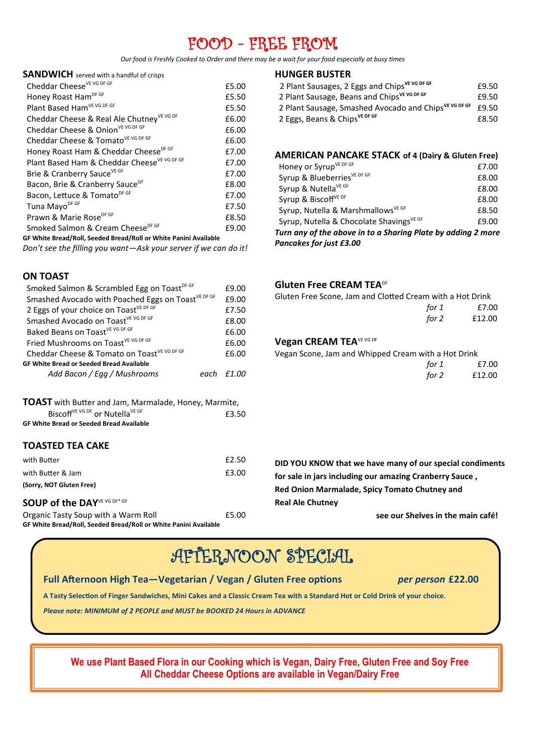## FOOD - FREE FROM

*Our food is Freshly Cooked to Order and there may be a wait for your food especially at busy times*

#### **SANDWICH** served with a handful of crisps

| Cheddar Cheese <sup>VE VG DF GF</sup>                            | £5.00 |  |
|------------------------------------------------------------------|-------|--|
| Honey Roast Ham <sup>DF GF</sup>                                 | £5.50 |  |
| Plant Based Ham <sup>VE VG DF GF</sup>                           | £5.50 |  |
| Cheddar Cheese & Real Ale Chutney VE VG DF                       | £6.00 |  |
| Cheddar Cheese & Onion <sup>VE VG DF GF</sup>                    | £6.00 |  |
| Cheddar Cheese & Tomato <sup>VE VG DF GF</sup>                   | £6.00 |  |
| Honey Roast Ham & Cheddar CheeseDF GF                            | £7.00 |  |
| Plant Based Ham & Cheddar Cheese <sup>VE VG DF GF</sup>          | £7.00 |  |
| Brie & Cranberry Sauce <sup>VE GF</sup>                          | £7.00 |  |
| Bacon, Brie & Cranberry Sauce <sup>GF</sup>                      | £8.00 |  |
| Bacon, Lettuce & TomatoDF GF                                     | £7.00 |  |
| Tuna Mayo <sup>DF GF</sup>                                       | £7.50 |  |
| Prawn & Marie Rose <sup>DF GF</sup>                              | £8.50 |  |
| Smoked Salmon & Cream Cheese <sup>DF GF</sup>                    | £9.00 |  |
| GF White Bread/Roll, Seeded Bread/Roll or White Panini Available |       |  |

*Don't see the filling you want—Ask your server if we can do it!*

#### **ON TOAST**

| £9.00  |
|--------|
| £9.00  |
| £7.50  |
| £8.00  |
| £6.00  |
| £6.00  |
| £6.00  |
|        |
| .F1 NN |
|        |

| <b>TOAST</b> with Butter and Jam, Marmalade, Honey, Marmite, |       |
|--------------------------------------------------------------|-------|
| Biscoff <sup>VE VG DF</sup> or Nutella <sup>VE GF</sup>      | £3.50 |
| <b>GF White Bread or Seeded Bread Available</b>              |       |

#### **TOASTED TEA CAKE**

| with Butter                 | £2.50 |
|-----------------------------|-------|
| with Butter & Jam           | £3.00 |
| (Sorry, NOT Gluten Free)    |       |
|                             |       |
| SOUP of the DAYVE VG DF* GF |       |

#### **HUNGER BUSTER**

| £9.50 |
|-------|
| £9.50 |
| £9.50 |
| £8.50 |
|       |

#### **AMERICAN PANCAKE STACK of 4 (Dairy & Gluten Free)**

| <b>Pancakes for just £3.00</b>                               |       |
|--------------------------------------------------------------|-------|
| Turn any of the above in to a Sharing Plate by adding 2 more |       |
| Syrup, Nutella & Chocolate Shavings <sup>VE GF</sup>         | £9.00 |
| Syrup, Nutella & Marshmallows <sup>VE GF</sup>               | £8.50 |
| Syrup & Biscoff <sup>VE DF</sup>                             | £8.00 |
| Syrup & Nutella <sup>VE GF</sup>                             | £8.00 |
| Syrup & BlueberriesVE DF GF                                  | £8.00 |
| Honey or Syrup <sup>VE DF GF</sup>                           | £7.00 |

#### **Gluten Free CREAM TEA**GF

| Gluten Free Scone, Jam and Clotted Cream with a Hot Drink |        |  |
|-----------------------------------------------------------|--------|--|
| for 1                                                     | £7.00  |  |
| for 2                                                     | £12.00 |  |

#### **Vegan CREAM TEAVE VG DF**

Vegan Scone, Jam and Whipped Cream with a Hot Drink

| for 1 | £7.00  |
|-------|--------|
| for 2 | £12.00 |

**DID YOU KNOW that we have many of our special condiments for sale in jars including our amazing Cranberry Sauce , Red Onion Marmalade, Spicy Tomato Chutney and Real Ale Chutney**

**see our Shelves in the main café!**

## AFTERNOON SPECIAL

#### **Full Afternoon High Tea—Vegetarian / Vegan / Gluten Free options** *per person* **£22.00**

**A Tasty Selection of Finger Sandwiches, Mini Cakes and a Classic Cream Tea with a Standard Hot or Cold Drink of your choice.**

*Please note: MINIMUM of 2 PEOPLE and MUST be BOOKED 24 Hours in ADVANCE*

**We use Plant Based Flora in our Cooking which is Vegan, Dairy Free, Gluten Free and Soy Free All Cheddar Cheese Options are available in Vegan/Dairy Free**